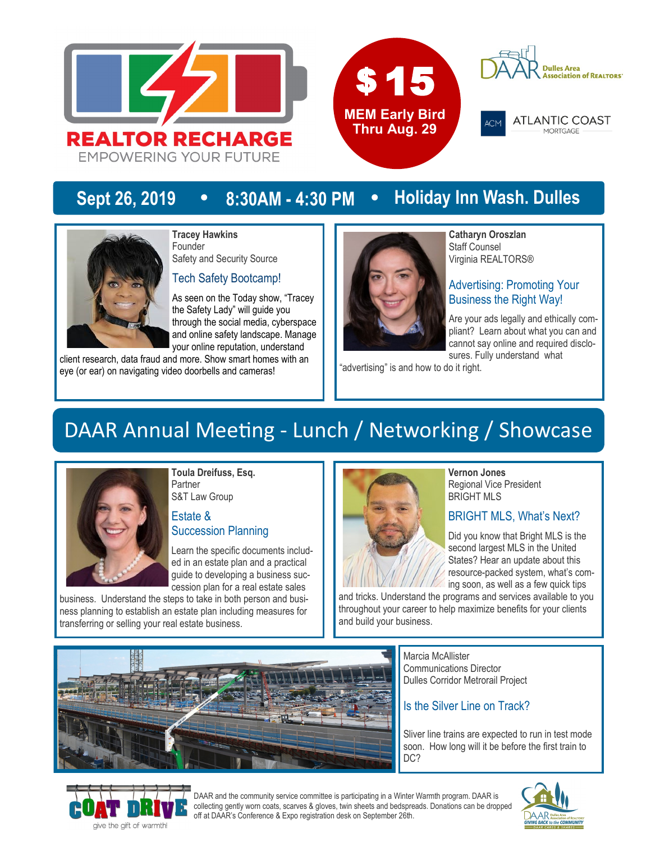





**ATLANTIC COAST** MORTGAGE

## **Sept 26, 2019 • 8:30AM - 4:30 PM • Holiday Inn Wash. Dulles**



**Tracey Hawkins** Founder Safety and Security Source

Tech Safety Bootcamp!

As seen on the Today show, "Tracey the Safety Lady" will guide you through the social media, cyberspace and online safety landscape. Manage your online reputation, understand

client research, data fraud and more. Show smart homes with an eye (or ear) on navigating video doorbells and cameras!



**Catharyn Oroszlan** Staff Counsel Virginia REALTORS®

### Advertising: Promoting Your Business the Right Way!

Are your ads legally and ethically compliant? Learn about what you can and cannot say online and required disclosures. Fully understand what

"advertising" is and how to do it right.

## DAAR Annual Meeting - Lunch / Networking / Showcase



**Toula Dreifuss, Esq.** Partner S&T Law Group

### Estate & Succession Planning

Learn the specific documents included in an estate plan and a practical guide to developing a business succession plan for a real estate sales

business. Understand the steps to take in both person and business planning to establish an estate plan including measures for transferring or selling your real estate business.



#### **Vernon Jones** Regional Vice President BRIGHT MLS

## BRIGHT MLS, What's Next?

Did you know that Bright MLS is the second largest MLS in the United States? Hear an update about this resource-packed system, what's coming soon, as well as a few quick tips

and tricks. Understand the programs and services available to you throughout your career to help maximize benefits for your clients and build your business.



Marcia McAllister Communications Director Dulles Corridor Metrorail Project

## Is the Silver Line on Track?

Sliver line trains are expected to run in test mode soon. How long will it be before the first train to DC?



DAAR and the community service committee is participating in a Winter Warmth program. DAAR is collecting gently worn coats, scarves & gloves, twin sheets and bedspreads. Donations can be dropped off at DAAR's Conference & Expo registration desk on September 26th.